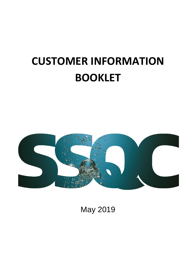# **CUSTOMER INFORMATION BOOKLET**



May 2019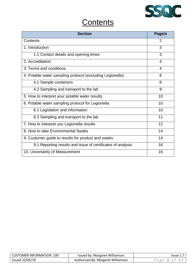

## **Contents**

| <b>Section</b>                                              | Page/s |
|-------------------------------------------------------------|--------|
| Contents                                                    | 2      |
| 1. Introduction                                             | 3      |
| 1.1 Contact details and opening times                       | 3      |
| 2. Accreditation                                            | 4      |
| 3. Terms and conditions                                     | 4      |
| 4. Potable water sampling protocol (excluding Legionella)   | 8      |
| 4.1 Sample containers                                       | 8      |
| 4.2 Sampling and transport to the lab                       | 9      |
| 5. How to interpret your potable water results              | 10     |
| 6. Potable water sampling protocol for Legionella           | 10     |
| 6.1 Legislation and information                             | 10     |
| 6.2 Sampling and transport to the lab                       | 11     |
| 7. How to interpret you Legionella results                  | 12     |
| 8. How to take Environmental Swabs                          | 14     |
| 9. Customer guide to results for product and swabs          | 14     |
| 9.1 Reporting results and issue of certificates of analysis | 16     |
| 10. Uncertainty of Measurement                              | 16     |

| <b>CUSTOMER INFORMATION 100</b> | Issued by: Margaret Williamson     | lssue 1      |
|---------------------------------|------------------------------------|--------------|
| Issued 22/05/19                 | Authorised By: Margaret Williamson | Page 2 of 17 |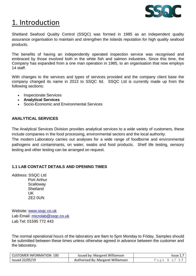

## 1. Introduction

Shetland Seafood Quality Control (SSQC) was formed in 1985 as an independent quality assurance organisation to maintain and strengthen the Islands reputation for high quality seafood products.

The benefits of having an independently operated inspection service was recognised and embraced by those involved both in the white fish and salmon industries. Since this time, the Company has expanded from a one man operation in 1985, to an organisation that now employs 14 staff.

With changes to the services and types of services provided and the company client base the company changed its name in 2013 to SSQC ltd. SSQC Ltd is currently made up from the following sections:

- Inspectorate Services
- **Analytical Services**
- Socio-Economic and Environmental Services

## **ANALYTICAL SERVICES**

The Analytical Services Division provides analytical services to a wide variety of customers, these include companies in the food processing, environmental sectors and the local authority.

The modern Laboratory carries out analyses for a wide range of foodborne and environmental pathogens and contaminants, on water, swabs and food products. Shelf life testing, sensory testing and other testing can be arranged on request.

## **1.1 LAB CONTACT DETAILS AND OPENING TIMES**

Address: SSQC Ltd Port Arthur **Scalloway Shetland**  UK ZE2 0UN

Website: www.ssgc.co.uk Lab Email: [microlab@ssqc.co.uk](mailto:microlab@ssqc.co.uk) Lab Tel: 01595 772 443

The normal operational hours of the laboratory are 9am to 5pm Monday to Friday. Samples should be submitted between these times unless otherwise agreed in advance between the customer and the laboratory.

| CUSTOMER INFORMATION 100 | Issued by: Margaret Williamson     | Issue $1.7$ I |
|--------------------------|------------------------------------|---------------|
| Issued 22/05/19          | Authorised By: Margaret Williamson | Page 3 of     |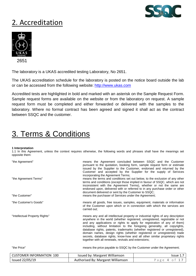

## 2. Accreditation



The laboratory is a UKAS accredited testing Laboratory, No 2651.

The UKAS accreditation schedule for the laboratory is posted on the notice board outside the lab or can be accessed from the following website: [http://www.ukas.com](http://www.ukas.com/)

Accredited tests are highlighted in bold and marked with an asterisk on the Sample Request Form. Sample request forms are available on the website or from the laboratory on request. A sample request form must be completed and either forwarded or delivered with the samples to the laboratory. Where no formal contract has been agreed and signed it shall act as the contract between SSQC and the customer.

## 3. Terms & Conditions

#### **1 Interpretation**

1.1 In this Agreement, unless the context requires otherwise, the following words and phrases shall have the meanings set opposite them:

| "the Agreement"<br>"the Agreement Terms" | incorporating the Agreement Terms;<br>document delivered or sent by the Customer to SSQC; | means the Agreement concluded between SSQC and the Customer<br>pursuant to the quotation, booking form, sample request form or estimate<br>issued by the Supplier to the Customer, endorsed and returned by the<br>Customer and accepted by the Supplier for the supply of Services<br>means the terms and conditions set out below, to the exclusion of any other<br>terms and conditions (except those implied in favour of SSQC, which are not<br>inconsistent with the Agreement Terms), whether or not the same are<br>endorsed upon, delivered with or referred to in any purchase order or other                 |  |
|------------------------------------------|-------------------------------------------------------------------------------------------|-------------------------------------------------------------------------------------------------------------------------------------------------------------------------------------------------------------------------------------------------------------------------------------------------------------------------------------------------------------------------------------------------------------------------------------------------------------------------------------------------------------------------------------------------------------------------------------------------------------------------|--|
| "the Customer"                           | means the purchaser of Services under the Agreement;                                      |                                                                                                                                                                                                                                                                                                                                                                                                                                                                                                                                                                                                                         |  |
| "the Customer's Goods"                   | carried out:                                                                              | means all goods, free issues, samples, equipment, materials or information<br>of the Customer upon which or in connection with which the services are                                                                                                                                                                                                                                                                                                                                                                                                                                                                   |  |
| "Intellectual Property Rights"           |                                                                                           | means any and all intellectual property or industrial rights of any description<br>anywhere in the world (whether registered, unregistered, registrable or not<br>and any applications or rights to apply for registration of any of them)<br>including, without limitation to the foregoing generality, all copyrights,<br>database rights, patents, trademarks (whether registered or unregistered),<br>domain names, design rights (whether registered or unregistered) trade<br>secrets, database rights, know-how and all other similar proprietary rights<br>together with all renewals, revivals and extensions; |  |
| "the Price"                              | means the price payable to SSQC by the Customer under the Agreement:                      |                                                                                                                                                                                                                                                                                                                                                                                                                                                                                                                                                                                                                         |  |
| <b>CUSTOMER INFORMATION 100</b>          | Issued by: Margaret Williamson                                                            | Issue 1.7                                                                                                                                                                                                                                                                                                                                                                                                                                                                                                                                                                                                               |  |
| <b>Issued 22/05/19</b>                   | Authorised By: Margaret Williamson                                                        | o f<br>$\overline{4}$<br>17<br>Page                                                                                                                                                                                                                                                                                                                                                                                                                                                                                                                                                                                     |  |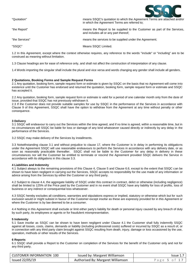

| "Quotation"    | means SSQC's quotation to which the Agreement Terms are attached and/or<br>in which the Agreement Terms are referred to: |
|----------------|--------------------------------------------------------------------------------------------------------------------------|
| "the Report"   | means the Report to be supplied to the Customer as part of the Services.<br>and includes all or any part thereof;        |
| "the Services" | means the services to be supplied under the Agreement:                                                                   |

"SSQC" Means SSQC Limited.

1.2 In this Agreement, except where the context otherwise requires, any reference to the words "include" or "including" are to be construed as meaning without limitation.

1.3 Clause headings are for ease of reference only, and shall not affect the construction of interpretation of any clause.

1.4 Words importing the singular shall include the plural and vice versa and words changing any gender shall include all genders.

#### **2 Quotations, Booking Forms and Sample Request Forms**

2.1 Any quotation, booking form, sample request form or estimate is given by SSQC on the basis that no Agreement will come into existence until the Customer has endorsed and returned the quotation, booking form, sample request form or estimate and SSQC has accepted it.

2.2 Any quotation, booking form, sample request form or estimate is valid for a period of one calendar month only from the date of issue, provided that SSQC has not previously withdrawn it.

2.3 If the Customer does not provide suitable samples for use by SSQC in the performance of the Services in accordance with Clause 9 of this Agreement, SSQC shall have the option to withdraw from the Agreement at any time without penalty or other consequence.

#### **3 Delivery**

3.1 SSQC will endeavour to carry out the Services within the time agreed, and if no time is agreed, within a reasonable time, but in no circumstances will SSQC be liable for loss or damage of any kind whatsoever caused directly or indirectly by any delay in the performance of the Services.

3.2 SSQC may make delivery of the Services by installments.

3.3 Notwithstanding clause 3.1 and without prejudice to clause 17, where the Customer is in delay in performing its obligations under the Agreement SSQC will use reasonable endeavours to perform the Services in accordance with any delivery date, or as soon as reasonably practicable thereafter. SSQC shall not be liable to the Customer for any delay in delivery in these circumstances nor will the Customer be entitled to terminate or rescind the Agreement provided SSQC delivers the Service in accordance with its obligations in this clause 3.3.

#### **4 Liabilities and Indemnity**

4.1 Subject always to the remaining provisions of this Clause 4, Clause 5 and Clause 6.6, except to the extent that SSQC can be shown to have been negligent in carrying out the Services, SSQC accepts no responsibility for the use made of any information or advice arising from the Services by either the Customer or any third party.

4.2 Subject to clause 4.4, the aggregate liability of SSQC under this contract in contract, delict or otherwise (including negligence) shall be limited to 125% of the Price paid by the Customer and in no event shall SSQC have any liability for loss of profits, loss of business or any indirect or consequential loss whatsoever.

4.3 SSQC hereby excludes all conditions, warranties and stipulations express or implied, statutory or otherwise which but for such exclusion would or might subsist in favour of the Customer except insofar as these are expressly provided for in this Agreement or where the Customer is by law deemed to be a consumer.

4.4 Nothing in this Agreement shall exclude or limit either party's liability for death or personal injury caused by any breach of duty by such party, its employees or agents or for fraudulent misrepresentation.

#### **5 Indemnity**

5.1 Save insofar as SSQC can be shown to have been negligent under Clause 4.1 the Customer shall fully indemnify SSQC against all losses, costs, claims, demands or liability (including professional costs) suffered or incurred by SSQC as a result of, or in connection with any third party claim brought against SSQC resulting from death, injury, damage or loss occasioned by the use, operation, methods or other results of the Services.

#### **6 Reports**

6.1 SSQC shall provide a Report to the Customer on completion of the Services for the benefit of the Customer only and not for any third party.

| CUSTOMER INFORMATION 100 | Issued by: Margaret Williamson     | Issue 1.     |
|--------------------------|------------------------------------|--------------|
| Issued 22/05/19          | Authorised By: Margaret Williamson | Page 5 of 1, |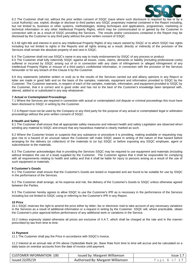

6.2 The Customer shall not, without the prior written consent of SSQC (save where such disclosure is required by law or by a Local Authority) use, exploit, divulge or disclose to third parties any SSQC proprietary material contained in the Report including, but not limited to, business or other systems, methodologies, testing techniques and applications, programmes, marketing or technical information or any other Intellectual Property Rights, which may be communicated to or gained by the Customer in connection with or as a result of SSQC providing the Services. The results and/or conclusions contained in the Report may be disclosed by the Customer to any third party without the prior written consent of SSQC.

6.3 All right title and interest in and to any Intellectual Property Rights of any nature owned by SSQC or to which SSQC has rights including but not limited to rights in the Reports and all rights arising as a result, directly or indirectly of the provision of the Services shall remain the absolute property of and vest in SSQC.

6.4 The Customer shall not use SSQC's name in any way to imply endorsement by SSQC of any process or product.

6.5 The Customer shall fully indemnify SSQC against all losses, costs, claims, demands or liability (including professional costs) suffered or incurred by SSQC arising out of or in connection with any claim of infringement or alleged infringement of any Intellectual Property Rights or misuse of a third party's confidential information, in connection with the provision of the Services hereunder or for any breach of this Clause 6 by the Customer.

6.6 Any statements (whether written or oral) as to the results of the Services carried out and all/any opinions in any Report or letter are made in good faith and on the basis of the samples, materials, equipment and information provided to SSQC by the Customer. The Customer warrants, in respect of each of the samples, materials, information, and equipment provided to SSQC by the Customer, that it is correct and in good order and has not to the best of the Customer's knowledge been tampered with, altered, added to or substituted in any way whatsoever.

#### **7 Actual or Contemplated Proceedings**

7.1 Where the Services are required in connection with actual or contemplated civil dispute or criminal proceedings this must have been disclosed to SSQC in writing by the Customer.

7.2 A Report must not be used by the Company or any third party for the purpose of any actual or contemplated legal or arbitration proceedings without the prior written consent of SSQC.

#### **8 Health and Safety**

8.1 The Customer shall ensure that all appropriate safety measures and relevant health and safety Legislation are observed when sending any material to SSQC and ensure that any hazardous material is clearly marked as such.

8.2 Where the Customer knows or suspects that any substance or procedure it is providing, making available or requesting may give rise to a hazard of an unusual nature the Customer will make SSQC aware in writing of the nature of that hazard before arranging for the delivery (or collection) of the materials to (or by) SSQC or before exposing any SSQC employee, agent or subcontractor to the materials.

8.3 The Customer acknowledges that in providing the Services SSQC may be required to use equipment and materials (including without limitation the use of a boat) supplied by the Customer. The Customer agrees that it shall be responsible for complying with all requirements relating to health and safety and that it shall be liable for injury to persons arising as a result of the use of such equipment or materials.

#### **9 Customer's Goods**

9.1 The Customer shall ensure that the Customer's Goods are tested or inspected and are found to be suitable for use by SSQC in the performance of the Services.

9.2 The Customer shall arrange, at his expense and risk, the delivery of the Customer's Goods to SSQC unless otherwise agreed between the Parties.

9.3 The Customer hereby agrees to allow SSQC to use the Customer's IPR as is necessary in the performance of the Services including but not limited to SSQC using or referring to the Customer's IPR in any Report.

#### **10 Price**

10.1 SSQC reserves the right to amend the price either by letter, fax or electronic mail to take account of any necessary variations in the Services as a result of additional information or a request in writing by the Customer. SSQC will, where practicable, obtain the Customer's prior approval before performance of any additional work or variations in the Service.

10.2 Unless expressly stated otherwise all prices are exclusive of V.A.T, which shall be charged at the rate and in the manner prescribed by law from time to time.

#### **11 Payment**

11.1 The Customer shall pay the Price in accordance with SSQC's invoice.

11.2 Interest at an annual rate of 5% above Clydesdale Bank plc. Base Rate from time to time will accrue and be calculated on a daily basis on overdue accounts from the date of invoice until payment.

| CUSTOMER INFORMATION 100 | Issued by: Margaret Williamson     | Issue 1.7    |
|--------------------------|------------------------------------|--------------|
| Issued 22/05/19          | Authorised By: Margaret Williamson | Page 6 of 17 |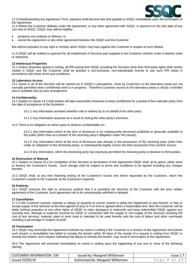

11.3 Notwithstanding any Agreement Term, payment shall become due and payable to SSQC immediately upon the termination of the Agreement.

11.4 Where the Customer defaults under the Agreement, or any other agreement with SSQC, in payment on the due date of any sum due to SSQC, SSQC may without liability:-

- postpone any analysis or delivery; or
- cancel the Agreement or any other agreement between the SSQC and the Customer

But without prejudice to any right or remedy which SSQC may have against the Customer in respect of such default.

11.5 SSQC will be entitled to payment for all installments of Services part supplied to the Customer whether under a blanket order or otherwise.

#### **12 Intellectual Properties**

12.1 Unless otherwise agreed in writing, all IPR arising from SSQC providing the Services other than third party rights shall remain vested in SSQC and the Customer shall be granted a non-exclusive, non-transferable license to use such IPR solely in accordance with these terms and conditions.

#### **13 Laboratory Access**

13.1 Some or all of the Services will be carried out in SSQC's Laboratories. Visits by Customers to the laboratory areas are not normally permitted when confidential work is in progress. Therefore Customer access to the laboratory areas is strictly controlled and is available only by prior arrangement.

#### **14 Confidentiality**

14.1 Subject to clause 14.2 both parties will take reasonable measures to keep confidential for a period of five calendar years from the date of acceptance of the Quotation: -

14.1.1 Any information provided (whether oral or written) by or on behalf of the other party;

14.1.2 Any information acquired as a result of visiting the other party's premises.

14.2 There is no obligation on either party to observe confidentiality on:-

14.2.1 Any information which at the time of disclosure is (or subsequently becomes) published or generally available to the public (other than as a breach of the receiving party's obligation under this clause);

14.2.2 Any information which at the time of disclosure was already in the possession of the receiving party (other than under an obligation to the disclosing party), or subsequently legally comes into their possession from another source;

14.2.3 Any information, which the disclosing party has expressly permitted the receiving party to disclose to third parties.

#### **15 Destruction of Material**

15.1 Subject to Clause 15.2 on completion of the Services or termination of this Agreement SSQC shall, at its option, either store or destroy the Customer's Goods. Such storage shall be subject to terms and conditions to be agreed including any charges therefor.

15.2 SSQC shall, at any time following testing of the Customer's Goods and where requested by the Customer, return the Customer's Goods to the Customer at the Customer's expense.

#### **16 Publicity**

16.1 SSQC reserves the right to announce publicly that it is providing the Services to the Customer with the prior written agreement of the Customer, such agreement not to be unreasonably withheld or delayed.

#### **17 Cancellation**

17.1 If the Customer cancels, extends or delays or purports to cancel, extend or delay the Agreement or part thereof, or fails to accept supply of the Services at the time agreed (if any) or if no time is agreed within a reasonable time, then the Customer will be liable (without prejudice to any other rights of SSQC to claim damages) to indemnify and keep indemnified SSQC against any resulting loss, damage or expense incurred by SSQC in connection with the supply or non-supply of the Services including the cost of any services, material, plant or tools used or intended to be used therefor and the cost of labour and other overheads including a percentage in respect of profit.

#### **18 Termination**

18.1 SSQC may terminate this Agreement forthwith by notice in writing if the Customer is in breach of this Agreement and (where such breach is remediable) has failed to remedy the breach within 30 days of the receipt of a request in writing from SSQC to remedy the breach, such request indicating that failure to remedy the breach, may result in termination of this Agreement.

18.2 The Agreement will terminate immediately on notice in writing upon the happening of any one or more of the following namely;

| CUSTOMER INFORMATION 100 | Issued by: Margaret Williamson     | Issue 1.7    |
|--------------------------|------------------------------------|--------------|
| Issued 22/05/19          | Authorised By: Margaret Williamson | Page 7 of 1. |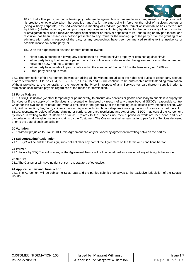

18.2.1 that either party has had a bankruptcy order made against him or has made an arrangement or composition with his creditors or otherwise taken the benefit of any Act for the time being in force for the relief of insolvent debtors or (being a body corporate) has had convened a meeting of creditors (whether formal or informal) or has entered into liquidation (whether voluntary or compulsory) except a solvent voluntary liquidation for the purpose only of reconstruction or amalgamation or has a receiver manager administrator or receiver appointed of its undertaking or any part thereof or a resolution has been passed or a petition presented to any Court for the winding-up of the party or for the granting of an administration order in respect of the party or any proceedings have been commenced relating to the insolvency or possible insolvency of the party; or

18.2.2 on the happening of any one or more of the following:

- either party suffering or allowing any execution to be levied on his/its property or obtained against him/it;
- either party failing to observe or perform any of its obligations or duties under the agreement or any other agreement between SSQC and the Customer; or
- either party being unable to pay its debts within the meaning of Section 123 of the Insolvency Act 1986; or
- Either party ceasing to trade.

18.3 The termination of this Agreement howsoever arising will be without prejudice to the rights and duties of either party accrued prior to termination. Clauses 1, 4, 5, 6.5, 6.6, 7, 11, 14, 15 and 17 will continue to be enforceable notwithstanding termination. Without prejudice to the generality of the foregoing the Price in respect of any Services (or part thereof) supplied prior to termination shall remain payable regardless of the reason for termination.

#### **19 Force Majeure**

19.1 If SSQC is unable (whether temporarily or permanently) to procure any services or goods necessary to enable it to supply the Services or if the supply of the Services is prevented or hindered by reason of any cause beyond SSQC's reasonable control which for the avoidance of doubt and without prejudice to the generality of the foregoing shall include governmental action, war, riot, civil commotion, fire, flood, epidemic, labour disputes including labour disputes involving the work force or any part thereof of SSQC, restraints or delays affecting shipping or carriers, currency restrictions and Act of God, SSQC may cancel the Agreement by notice in writing to the Customer so far as it relates to the Services not then supplied or work not then done and such cancellation shall not give rise to any claims by the Customer. The Customer shall remain liable to pay for the Services delivered prior to the date of such cancellation.

#### **20 Variation**

20.1 Without prejudice to Clause 10.1, this Agreement can only be varied by agreement in writing between the parties.

#### **21 Subcontracting/Assignation**

21.1 SSQC will be entitled to assign, sub-contract all or any part of the Agreement on the terms and conditions hereof.

#### **22 Waiver**

22.1 Failure by SSQC to enforce any of the Agreement Terms will not be construed as a waiver of any of its rights hereunder.

#### **23 Set Off**

23.1 The Customer will have no right of set - off, statutory of otherwise.

#### **24 Applicable Law and Jurisdiction**

24.1 The Agreement will be subject to Scots Law and the parties submit themselves to the exclusive jurisdiction of the Scottish Courts.

| CUSTOMER INFORMATION 100 | Issued by: Margaret Williamson     | Issue 1.     |
|--------------------------|------------------------------------|--------------|
| Issued 22/05/19          | Authorised By: Margaret Williamson | Page 8 of 1, |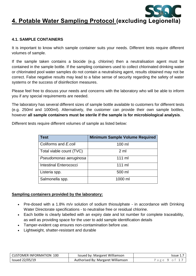

## **4. Potable Water Sampling Protocol (excluding Legionella)**

## **4.1. SAMPLE CONTAINERS**

It is important to know which sample container suits your needs. Different tests require different volumes of sample.

If the sample taken contains a biocide (e.g. chlorine) then a neutralisation agent must be contained in the sample bottle. If the sampling containers used to collect chlorinated drinking water or chlorinated pool water samples do not contain a neutralising agent, results obtained may not be correct. False negative results may lead to a false sense of security regarding the safety of water systems or the success of disinfection measures.

Please feel free to discuss your needs and concerns with the laboratory who will be able to inform you if any special requirements are needed.

The laboratory has several different sizes of sample bottle available to customers for different tests (e.g. 250ml and 1000ml). Alternatively, the customer can provide their own sample bottles, however **all sample containers must be sterile if the sample is for microbiological analysis**.

| <b>Test</b>                   | <b>Minimum Sample Volume Required</b> |
|-------------------------------|---------------------------------------|
| Coliforms and E.coli          | 100 ml                                |
| Total viable count (TVC)      | $2 \mathrm{ml}$                       |
| Pseudomonas aeruginosa        | $111 \text{ ml}$                      |
| <b>Intestinal Enterococci</b> | $111 \text{ ml}$                      |
| Listeria spp.                 | 500 ml                                |
| Salmonella spp.               | 1000 ml                               |

Different tests require different volumes of sample as listed below:

## **Sampling containers provided by the laboratory:**

- Pre-dosed with a 1.8% m/v solution of sodium thiosulphate in accordance with Drinking Water Directorate specifications - to neutralise free or residual chlorine.
- Each bottle is clearly labelled with an expiry date and lot number for complete traceability, as well as providing space for the user to add sample identification details
- Tamper-evident cap ensures non-contamination before use.
- Lightweight, shatter-resistant and durable

| CUSTOMER INFORMATION 100 | Issued by: Margaret Williamson     | Issue |
|--------------------------|------------------------------------|-------|
| <b>Issued 22/05/19</b>   | Authorised By: Margaret Williamson | age 9 |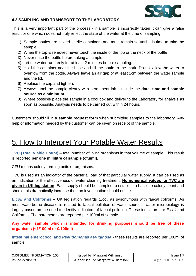

## **4.2 SAMPLING AND TRANSPORT TO THE LABORATORY**

This is a very important part of the process - if a sample is incorrectly taken it can give a false result or one which does not truly reflect the state of the water at the time of sampling.

- 1) Sample bottles are closed sterile containers and must remain so until it is time to take the sample.
- 2) When the top is removed never touch the inside of the top or the neck of the bottle.
- 3) Never rinse the bottle before taking a sample.
- 4) Let the water run freely for at least 2 minutes before sampling.
- 5) Hold the container near the base and fill the bottle to the mark. Do not allow the water to overflow from the bottle. Always leave an air gap of at least 1cm between the water sample and the lid.
- 6) Replace the cap and tighten.
- 7) Always label the sample clearly with permanent ink include the **date, time and sample source as a minimum.**
- 8) Where possible place the sample in a cool box and deliver to the Laboratory for analysis as soon as possible. Analysis needs to be carried out within 24 hours.

Customers should fill in a **sample request form** when submitting samples to the laboratory. Any help or information needed by the customer can be given on receipt of the sample.

## 5. How to Interpret Your Potable Water Results

**TVC (Total Viable Count)** – total number of living organisms in that volume of sample. This result is reported **per one millilitre of sample (cfu/ml)**.

CFU means colony forming units or organisms.

TVC is used as an indicator of the bacterial load of that particular water supply. It can be used as an indication of the effectiveness of water cleaning treatment. **No numerical values for TVC are given in UK legislation**. Each supply should be sampled to establish a baseline colony count and should this dramatically increase then an investigation should ensue.

*E.coli* **and Coliforms** – UK legislation regards *E.coli* as synonymous with faecal coliforms. As most waterborne disease is related to faecal pollution of water sources, water microbiology is largely based on the need to identify indicators of faecal pollution. These indicators are *E.coli* and Coliforms. The parameters are reported per 100ml of sample.

**Any water sample which is intended for drinking purposes should be free of these organisms (<1/100ml or 0/100ml)**

**Intestinal enterococci and** *Pseudomonas aeruginosa* - these results are reported per 100ml of sample.

| CUSTOMER INFORMATION 100 | Issued by: Margaret Williamson     | Issue 1.      |
|--------------------------|------------------------------------|---------------|
| Issued 22/05/19          | Authorised By: Margaret Williamson | Page 10 of 1, |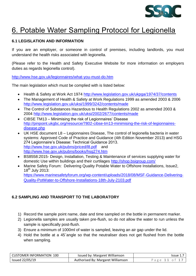

## 6. Potable Water Sampling Protocol for Legionella

## **6.1 LEGISLATION AND INFORMATION**

If you are an employer, or someone in control of premises, including landlords, you must understand the health risks associated with legionella.

(Please refer to the Health and Safety Executive Website for more information on employers duties as regards legionella control).

<http://www.hse.gov.uk/legionnaires/what-you-must-do.htm>

The main legislation which must be complied with is listed below:

- Health & Safety at Work Act 1974<http://www.legislation.gov.uk/ukpga/1974/37/contents>
- The Management of Health & Safety at Work Regulations 1999 as amended 2003 & 2006 <http://www.legislation.gov.uk/uksi/1999/3242/contents/made>
- The Control of Substances Hazardous to Health Regulations 2002 as amended 2003 & 2004<http://www.legislation.gov.uk/uksi/2002/2677/contents/made>
- CIBSE TM13 Minimising the risk of Legionnaires' Disease [http://pinpoint.ukgbc.org/resource/7802-cibse-tm13-minimising-the-risk-of-legionnaires](http://pinpoint.ukgbc.org/resource/7802-cibse-tm13-minimising-the-risk-of-legionnaires-disease.php)[disease.php](http://pinpoint.ukgbc.org/resource/7802-cibse-tm13-minimising-the-risk-of-legionnaires-disease.php)
- UK HSE document L8 Legionnaires Disease, The control of legionella bacteria in water systems: Approved Code of Practice and Guidance (4th Edition November 2013) and HSG 274 Legionnaire's Disease: Technical Guidance 2013. <http://www.hse.gov.uk/pubns/priced/l8.pdf> and <http://www.hse.gov.uk/pubns/books/hsg274.htm>
- BS8558:2015- Design, Installation, Testing & Maintenance of services supplying water for domestic Use within buildings and their curtilages<http://shop.bsigroup.com/>
- Marine Safety Forum: Delivering Quality Potable Water to Offshore Installations, Issue2,  $18^{th}$  July 2013: https://www.marinesafetyforum.org/wp-content/uploads/2018/08/MSF-Guidance-Delivering-Quality-PotWater-to-Offshore-Installations-18th-July-2103.pdf

## **6.2 SAMPLING AND TRANSPORT TO THE LABORATORY**

- 1) Record the sample point name, date and time sampled on the bottle in permanent marker.
- 2) Legionella samples are usually taken pre-flush, so do not allow the water to run unless the sample is specifically post-flush.
- 3) Ensure a minimum of 1000ml of water is sampled, leaving an air gap under the lid.
- 4) Hold the bottle at a 45˚angle so that the neutraliser does not get flushed from the bottle when sampling.

| CUSTOMER INFORMATION 100 | Issued by: Margaret Williamson     | 'ssue 1.     |
|--------------------------|------------------------------------|--------------|
| Issued 22/05/19          | Authorised By: Margaret Williamson | Page 11 of 3 |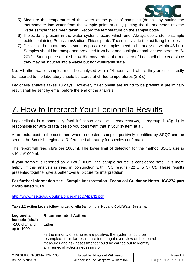

- 5) Measure the temperature of the water at the point of sampling (do this by putting the thermometer into water from the sample point NOT by putting the thermometer into the water sample that's been taken. Record the temperature on the sample bottle.
- 6) If biocide is present in the water system, record which one. Always use a sterile sample bottle containing Potassium/Sodium Thiosulphate. These inactivate the oxidizing biocides.
- 7) Deliver to the laboratory as soon as possible (samples need to be analysed within 48 hrs). Samples should be transported protected from heat and sunlight at ambient temperature (6- 20°c). Storing the sample below 6°c may reduce the recovery of Legionella bacteria since they may be induced into a viable but non-culturable state.

Nb. All other water samples must be analysed within 24 hours and where they are not directly transported to the laboratory should be stored at chilled temperatures (2-8°c)

Legionella analysis takes 10 days. However, if Legionella are found to be present a preliminary result shall be sent by email before the end of the analysis.

## 7. How to Interpret Your Legionella Results

Legionellosis is a potentially fatal infectious disease. *L.pneumophilia,* serogroup 1 (Sg 1) is responsible for 90% of fatalities so you don't want that in your system at all.

At an extra cost to the customer, when requested, samples positively identified by SSQC can be sent to the Scottish Legionella Reference Laboratory for species confirmation.

The report will read cfu's per 1000ml. The lower limit of detection for the method SSQC use is <10cfu/1000ml.

If your sample is reported as <10cfu/1000ml, the sample source is considered safe. It is more helpful if this analysis is read in conjunction with TVC results (22°C & 37°C). These results presented together give a better overall picture for interpretation.

## **For further information see - Sample Interpretation: Technical Guidance Notes HSG274 part 2 Published 2014**

**Table 2.2 Action Levels following Legionella Sampling in Hot and Cold Water Systems.**

<http://www.hse.gov.uk/pubns/priced/hsg274part2.pdf>

|  |  | Table 2.2 Action Levels following Legionella Sampling in Hot and Cold water Systems. |  |
|--|--|--------------------------------------------------------------------------------------|--|
|  |  |                                                                                      |  |

| Legionella                     | <b>Recommended Actions</b>                                                                                                                                                                                                                       |
|--------------------------------|--------------------------------------------------------------------------------------------------------------------------------------------------------------------------------------------------------------------------------------------------|
| bacteria (cfu/l)               |                                                                                                                                                                                                                                                  |
| $>100$ cfu/l and<br>up to 1000 | Either:                                                                                                                                                                                                                                          |
|                                | - if the minority of samples are positive, the system should be<br>resampled. If similar results are found again, a review of the control<br>measures and risk assessment should be carried out to identify<br>any remedial actions necessary or |

| CUSTOMER INFORMATION 100 | Issued by: Margaret Williamson     | lssue 1 |
|--------------------------|------------------------------------|---------|
| Issued 22/05/19          | Authorised By: Margaret Williamson | Page 12 |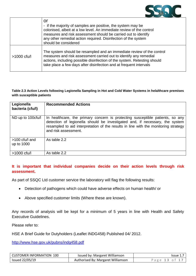

|               | or<br>- if the majority of samples are positive, the system may be<br>colonised, albeit at a low level. An immediate review of the control<br>measures and risk assessment should be carried out to identify<br>any other remedial action required. Disinfection of the system<br>should be considered |
|---------------|--------------------------------------------------------------------------------------------------------------------------------------------------------------------------------------------------------------------------------------------------------------------------------------------------------|
| $>1000$ cfu/l | The system should be resampled and an immediate review of the control<br>measures and risk assessment carried out to identify any remedial<br>actions, including possible disinfection of the system. Retesting should<br>take place a few days after disinfection and at frequent intervals           |

### **Table 2.3 Action Levels following Legionella Sampling in Hot and Cold Water Systems in helalthcare premises with susceptible patients**

| Legionella<br>bacteria (cfu/l) | <b>Recommended Actions</b>                                                                                                                                                                                                                                                   |
|--------------------------------|------------------------------------------------------------------------------------------------------------------------------------------------------------------------------------------------------------------------------------------------------------------------------|
| ND up to 100cfu/l              | In healthcare, the primary concern is protecting susceptible patients, so any<br>detection of legionella should be investigated and, if necessary, the system<br>resampled to aid interpretation of the results in line with the monitoring strategy<br>and risk assessment. |
| >100 cfu/l and<br>up to 1000   | As table 2.2                                                                                                                                                                                                                                                                 |
| $>1000$ cfu/l                  | As table 2.2                                                                                                                                                                                                                                                                 |

## **It is important that individual companies decide on their action levels through risk assessment.**

As part of SSQC Ltd customer service the laboratory will flag the following results:

- Detection of pathogens which could have adverse effects on human health/ or
- Above specified customer limits (Where these are known).

Any records of analysis will be kept for a minimum of 5 years in line with Health and Safety Executive Guidelines.

Please refer to:

HSE A Brief Guide for Dutyholders (Leaflet INDG458) Published 04/ 2012.

<http://www.hse.gov.uk/pubns/indg458.pdf>

| CUSTOMER INFORMATION 100 | Issued by: Margaret Williamson     | Issue $1.7$ I |
|--------------------------|------------------------------------|---------------|
| <b>Issued 22/05/19</b>   | Authorised By: Margaret Williamson | Page 13 of 17 |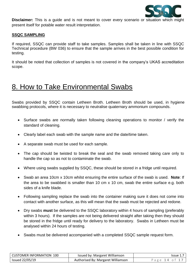

**Disclaimer:** This is a guide and is not meant to cover every scenario or situation which might present itself for potable water result interpretation.

### **SSQC SAMPLING**

If required, SSQC can provide staff to take samples. Samples shall be taken in line with SSQC Technical procedure (BW 036) to ensure that the sample arrives in the best possible condition for testing.

It should be noted that collection of samples is not covered in the company's UKAS accreditation scope.

## 8. How to Take Environmental Swabs

Swabs provided by SSQC contain Letheen Broth. Letheen Broth should be used, in hygiene swabbing protocols, where it is necessary to neutralise quaternary ammonium compounds.

- Surface swabs are normally taken following cleaning operations to monitor / verify the standard of cleaning.
- Clearly label each swab with the sample name and the date/time taken.
- A separate swab must be used for each sample.
- The cap should be twisted to break the seal and the swab removed taking care only to handle the cap so as not to contaminate the swab.
- Where using swabs supplied by SSQC, these should be stored in a fridge until required.
- Swab an area 10cm x 10cm whilst ensuring the entire surface of the swab is used. **Note**: If the area to be swabbed is smaller than 10 cm x 10 cm, swab the entire surface e.g. both sides of a knife blade.
- Following sampling replace the swab into the container making sure it does not come into contact with another surface, as this will mean that the swab must be rejected and redone.
- Dry swabs **must** be delivered to the SSQC laboratory within 4 hours of sampling (preferably within 3 hours). If the samples are not being delivered straight after taking then they should be stored in the fridge until ready for delivery to the laboratory. Swabs in Letheen must be analysed within 24 hours of testing.
- Swabs must be delivered accompanied with a completed SSQC sample request form.

| CUSTOMER INFORMATION 100 | Issued by: Margaret Williamson     | Issue 1.7     |
|--------------------------|------------------------------------|---------------|
| Issued 22/05/19          | Authorised By: Margaret Williamson | Page 14 of 17 |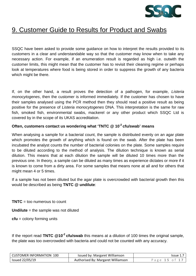

## 9. Customer Guide to Results for Product and Swabs

SSQC have been asked to provide some guidance on how to interpret the results provided to its customers in a clear and understandable way so that the customer may know when to take any necessary action. For example, if an enumeration result is regarded as high i.e. outwith the customer limits, this might mean that the customer has to revisit their cleaning regime or perhaps look at temperatures where food is being stored in order to suppress the growth of any bacteria which might be there.

If, on the other hand, a result proves the detection of a pathogen, for example, *Listeria monocytogenes*, then the customer is informed immediately. If the customer has chosen to have their samples analysed using the PCR method then they should read a positive result as being positive for the presence of *Listeria monocytogenes* DNA. This interpretation is the same for raw fish, smoked fish, environmental swabs, mackerel or any other product which SSQC Ltd is covered by in the scope of its UKAS accreditation.

### **Often, customers contact us wondering what 'TNTC @ 10-2 cfu/swab' means**

When analysing a sample for a bacterial count, the sample is distributed evenly on an agar plate which promotes the growth of anything which is found on the swab. After the plate has been incubated the analyst counts the number of bacterial colonies on the plate. Some samples require to be diluted according to the method of analysis. The dilution technique is known as serial dilution. This means that at each dilution the sample will be diluted 10 times more than the previous one. In theory, a sample can be diluted as many times as experience dictates or more if it is known to come from a dirty area. For some samples that means none at all and for others that might mean 4 or 5 times.

If a sample has not been diluted but the agar plate is overcrowded with bacterial growth then this would be described as being **TNTC @ undilute**:

**TNTC**  $=$  too numerous to count

**Undilute** = the sample was not diluted

**cfu** = colony forming units

If the report read **TNTC @10-2 cfu/swab** this means at a dilution of 100 times the original sample, the plate was too overcrowded with bacteria and could not be counted with any accuracy.

| CUSTOMER INFORMATION 100 | Issued by: Margaret Williamson     | $Is sue$ 1.7  |
|--------------------------|------------------------------------|---------------|
| Issued 22/05/19          | Authorised By: Margaret Williamson | Page 15 of 17 |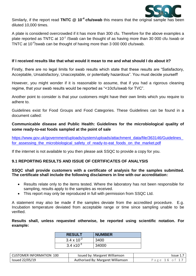

Similarly, if the report read **TNTC @ 10-4 cfu/swab** this means that the original sample has been diluted 10,000 times.

A plate is considered overcrowded if it has more than 300 cfu. Therefore for the above examples a plate reported as TNTC at  $10^{-2}$  /Swab can be thought of as having more than 30 000 cfu /swab or TNTC at 10<sup>-4</sup>/swab can be thought of having more than 3 000 000 cfu/swab.

### **If I received results like that what would it mean to me and what should I do about it?**

Firstly, there are no legal limits for swab results which state that these results are "Satisfactory, Acceptable, Unsatisfactory, Unacceptable, or potentially hazardous". You must decide yourself!

However, you might wonder if it is reasonable to assume, that if you had a rigorous cleaning regime, that your swab results would be reported as "<10cfu/swab for TVC".

Another point to consider is that your customers might have their own limits which you require to adhere to.

Guidelines exist for Food Groups and Food Categories. These Guidelines can be found in a document called:

## **Communicable disease and Public Health: Guidelines for the microbiological quality of some ready-to-eat foods sampled at the point of sale**

[https://www.gov.uk/government/uploads/system/uploads/attachment\\_data/file/363146/Guidelines\\_](https://www.gov.uk/government/uploads/system/uploads/attachment_data/file/363146/Guidelines_for_assessing_the_microbiological_safety_of_ready-to-eat_foods_on_the_market.pdf) for assessing the microbiological safety of ready-to-eat foods on the market.pdf

If the internet is not available to you then please ask SSQC to provide a copy for you.

## **9.1 REPORTING RESULTS AND ISSUE OF CERTIFICATES OF ANALYSIS**

### **SSQC shall provide customers with a certificate of analysis for the samples submitted. The certificate shall include the following disclaimers in line with our accreditation:**

- Results relate only to the items tested. Where the laboratory has not been responsible for sampling, results apply to the samples as received.
- This report may only be reproduced in full with permission from SSQC Ltd.

A statement may also be made if the samples deviate from the accredited procedure. E.g. Incubation temperature deviated from acceptable range or time since sampling unable to be verified.

**Results shall, unless requested otherwise, be reported using scientific notation. For example:**

| <b>RESULT</b>        | <b>NUMBER</b> |
|----------------------|---------------|
| $3.4 \times 10^{-2}$ | 3400          |
| $3.4 \times 10^{-3}$ | 34000         |

| CUSTOMER INFORMATION 100 | Issued by: Margaret Williamson     | Issue 1       |
|--------------------------|------------------------------------|---------------|
| Issued 22/05/19          | Authorised By: Margaret Williamson | Page 16 of 17 |